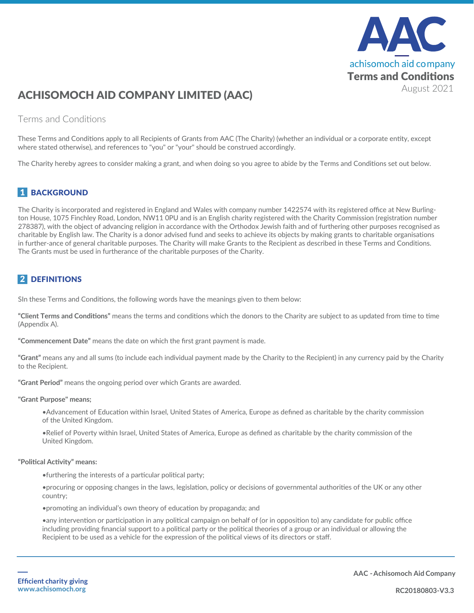

# ACHISOMOCH AID COMPANY LIMITED (AAC)

#### Terms and Conditions

These Terms and Conditions apply to all Recipients of Grants from AAC (The Charity) (whether an individual or a corporate entity, except where stated otherwise), and references to "you" or "your" should be construed accordingly.

The Charity hereby agrees to consider making a grant, and when doing so you agree to abide by the Terms and Conditions set out below.

### **1 BACKGROUND**

The Charity is incorporated and registered in England and Wales with company number 1422574 with its registered office at New Burlington House, 1075 Finchley Road, London, NW11 0PU and is an English charity registered with the Charity Commission (registration number 278387), with the object of advancing religion in accordance with the Orthodox Jewish faith and of furthering other purposes recognised as charitable by English law. The Charity is a donor advised fund and seeks to achieve its objects by making grants to charitable organisations in further-ance of general charitable purposes. The Charity will make Grants to the Recipient as described in these Terms and Conditions. The Grants must be used in furtherance of the charitable purposes of the Charity.

#### 2 DEFINITIONS

SIn these Terms and Conditions, the following words have the meanings given to them below:

**"Client Terms and Conditions"** means the terms and conditions which the donors to the Charity are subject to as updated from time to time (Appendix A).

**"Commencement Date"** means the date on which the first grant payment is made.

**"Grant"** means any and all sums (to include each individual payment made by the Charity to the Recipient) in any currency paid by the Charity to the Recipient.

**"Grant Period"** means the ongoing period over which Grants are awarded.

**"Grant Purpose" means;**

•Advancement of Education within Israel, United States of America, Europe as defined as charitable by the charity commission of the United Kingdom.

•Relief of Poverty within Israel, United States of America, Europe as defined as charitable by the charity commission of the United Kingdom.

#### **"Political Activity" means:**

•furthering the interests of a particular political party;

•procuring or opposing changes in the laws, legislation, policy or decisions of governmental authorities of the UK or any other country;

•promoting an individual's own theory of education by propaganda; and

•any intervention or participation in any political campaign on behalf of (or in opposition to) any candidate for public office including providing financial support to a political party or the political theories of a group or an individual or allowing the Recipient to be used as a vehicle for the expression of the political views of its directors or staff.

**AAC - Achisomoch Aid Company**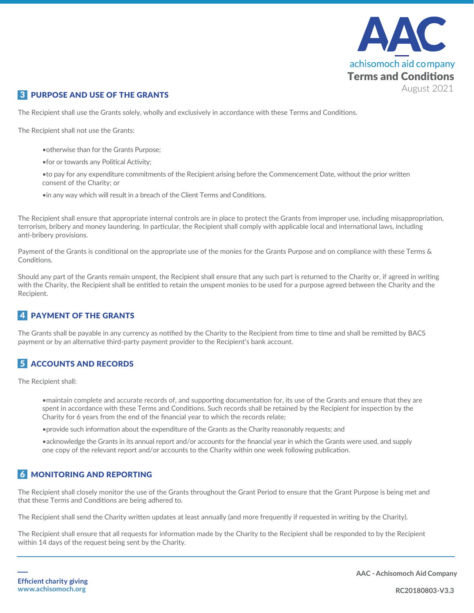

#### **3 PURPOSE AND USE OF THE GRANTS**

The Recipient shall use the Grants solely, wholly and exclusively in accordance with these Terms and Conditions.

The Recipient shall not use the Grants:

- •otherwise than for the Grants Purpose;
- •for or towards any Political Activity;

•to pay for any expenditure commitments of the Recipient arising before the Commencement Date, without the prior written consent of the Charity; or

•in any way which will result in a breach of the Client Terms and Conditions.

The Recipient shall ensure that appropriate internal controls are in place to protect the Grants from improper use, including misappropriation, terrorism, bribery and money laundering. In particular, the Recipient shall comply with applicable local and international laws, including anti-bribery provisions.

Payment of the Grants is conditional on the appropriate use of the monies for the Grants Purpose and on compliance with these Terms & Conditions.

Should any part of the Grants remain unspent, the Recipient shall ensure that any such part is returned to the Charity or, if agreed in writing with the Charity, the Recipient shall be entitled to retain the unspent monies to be used for a purpose agreed between the Charity and the Recipient.

#### 4 PAYMENT OF THE GRANTS

The Grants shall be payable in any currency as notified by the Charity to the Recipient from time to time and shall be remitted by BACS payment or by an alternative third-party payment provider to the Recipient's bank account.

#### 5 ACCOUNTS AND RECORDS

The Recipient shall:

•maintain complete and accurate records of, and supporting documentation for, its use of the Grants and ensure that they are spent in accordance with these Terms and Conditions. Such records shall be retained by the Recipient for inspection by the Charity for 6 years from the end of the financial year to which the records relate;

•provide such information about the expenditure of the Grants as the Charity reasonably requests; and

•acknowledge the Grants in its annual report and/or accounts for the financial year in which the Grants were used, and supply one copy of the relevant report and/or accounts to the Charity within one week following publication.

#### 6 MONITORING AND REPORTING

The Recipient shall closely monitor the use of the Grants throughout the Grant Period to ensure that the Grant Purpose is being met and that these Terms and Conditions are being adhered to.

The Recipient shall send the Charity written updates at least annually (and more frequently if requested in writing by the Charity).

The Recipient shall ensure that all requests for information made by the Charity to the Recipient shall be responded to by the Recipient within 14 days of the request being sent by the Charity.

**AAC - Achisomoch Aid Company**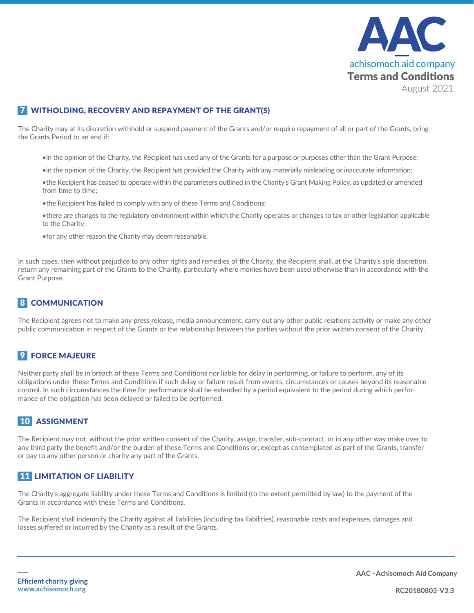

#### **7 WITHOLDING, RECOVERY AND REPAYMENT OF THE GRANT(S)**

The Charity may at its discretion withhold or suspend payment of the Grants and/or require repayment of all or part of the Grants, bring the Grants Period to an end if:

•in the opinion of the Charity, the Recipient has used any of the Grants for a purpose or purposes other than the Grant Purpose;

•in the opinion of the Charity, the Recipient has provided the Charity with any materially misleading or inaccurate information;

•the Recipient has ceased to operate within the parameters outlined in the Charity's Grant Making Policy, as updated or amended from time to time:

•the Recipient has failed to comply with any of these Terms and Conditions;

•there are changes to the regulatory environment within which the Charity operates or changes to tax or other legislation applicable to the Charity;

•for any other reason the Charity may deem reasonable.

In such cases, then without prejudice to any other rights and remedies of the Charity, the Recipient shall, at the Charity's sole discretion, return any remaining part of the Grants to the Charity, particularly where monies have been used otherwise than in accordance with the Grant Purpose.

#### 8 COMMUNICATION

The Recipient agrees not to make any press release, media announcement, carry out any other public relations activity or make any other public communication in respect of the Grants or the relationship between the parties without the prior written consent of the Charity.

#### **9 FORCE MAJEURE**

Neither party shall be in breach of these Terms and Conditions nor liable for delay in performing, or failure to perform, any of its obligations under these Terms and Conditions if such delay or failure result from events, circumstances or causes beyond its reasonable control. In such circumstances the time for performance shall be extended by a period equivalent to the period during which performance of the obligation has been delayed or failed to be performed.

#### 10 ASSIGNMENT

The Recipient may not, without the prior written consent of the Charity, assign, transfer, sub-contract, or in any other way make over to any third party the benefit and/or the burden of these Terms and Conditions or, except as contemplated as part of the Grants, transfer or pay to any other person or charity any part of the Grants.

#### 11 LIMITATION OF LIABILITY

The Charity's aggregate liability under these Terms and Conditions is limited (to the extent permitted by law) to the payment of the Grants in accordance with these Terms and Conditions.

The Recipient shall indemnify the Charity against all liabilities (including tax liabilities), reasonable costs and expenses, damages and losses suffered or incurred by the Charity as a result of the Grants.

**AAC - Achisomoch Aid Company**